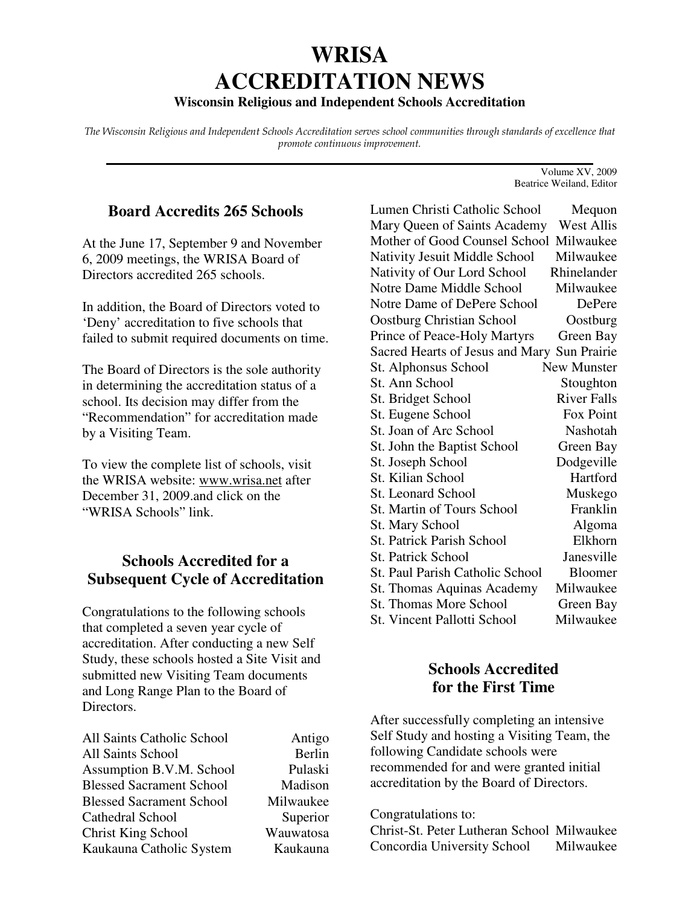# **WRISA ACCREDITATION NEWS**

## **Wisconsin Religious and Independent Schools Accreditation**

The Wisconsin Religious and Independent Schools Accreditation serves school communities through standards of excellence that promote continuous improvement. **\_\_\_\_\_\_\_\_\_\_\_\_\_\_\_\_\_\_\_\_\_\_\_\_\_\_\_\_\_\_\_\_\_\_\_\_\_\_\_\_\_\_\_\_\_\_\_\_\_\_\_\_\_\_\_\_\_\_\_\_\_\_\_\_\_\_\_\_\_\_\_**

## **Board Accredits 265 Schools**

At the June 17, September 9 and November 6, 2009 meetings, the WRISA Board of Directors accredited 265 schools.

In addition, the Board of Directors voted to 'Deny' accreditation to five schools that failed to submit required documents on time.

The Board of Directors is the sole authority in determining the accreditation status of a school. Its decision may differ from the "Recommendation" for accreditation made by a Visiting Team.

To view the complete list of schools, visit the WRISA website: www.wrisa.net after December 31, 2009.and click on the "WRISA Schools" link.

## **Schools Accredited for a Subsequent Cycle of Accreditation**

Congratulations to the following schools that completed a seven year cycle of accreditation. After conducting a new Self Study, these schools hosted a Site Visit and submitted new Visiting Team documents and Long Range Plan to the Board of Directors.

| All Saints Catholic School      | Antigo    |
|---------------------------------|-----------|
| All Saints School               | Berlin    |
| Assumption B.V.M. School        | Pulaski   |
| <b>Blessed Sacrament School</b> | Madison   |
| <b>Blessed Sacrament School</b> | Milwaukee |
| Cathedral School                | Superior  |
| <b>Christ King School</b>       | Wauwatosa |
| Kaukauna Catholic System        | Kaukauna  |

Lumen Christi Catholic School Mequon Mary Queen of Saints Academy West Allis Mother of Good Counsel School Milwaukee Nativity Jesuit Middle School Milwaukee Nativity of Our Lord School Rhinelander Notre Dame Middle School Milwaukee Notre Dame of DePere School DePere Oostburg Christian School Oostburg Prince of Peace-Holy Martyrs Green Bay Sacred Hearts of Jesus and Mary Sun Prairie St. Alphonsus School New Munster St. Ann School Stoughton St. Bridget School River Falls St. Eugene School Fox Point St. Joan of Arc School Nashotah St. John the Baptist School Green Bay St. Joseph School Dodgeville St. Kilian School Hartford St. Leonard School Muskego St. Martin of Tours School Franklin St. Mary School Algoma St. Patrick Parish School Elkhorn St. Patrick School Janesville St. Paul Parish Catholic School Bloomer St. Thomas Aquinas Academy Milwaukee St. Thomas More School Green Bay St. Vincent Pallotti School Milwaukee

## **Schools Accredited for the First Time**

After successfully completing an intensive Self Study and hosting a Visiting Team, the following Candidate schools were recommended for and were granted initial accreditation by the Board of Directors.

#### Congratulations to:

Christ-St. Peter Lutheran School Milwaukee Concordia University School Milwaukee

Volume XV, 2009 Beatrice Weiland, Editor